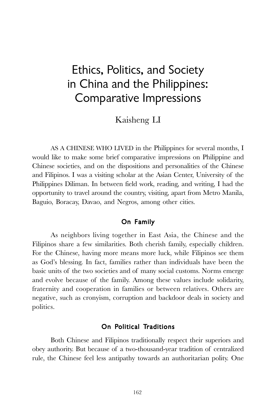# Ethics, Politics, and Society in China and the Philippines: Comparative Impressions

Kaisheng LI

AS A CHINESE WHO LIVED in the Philippines for several months, I would like to make some brief comparative impressions on Philippine and Chinese societies, and on the dispositions and personalities of the Chinese and Filipinos. I was a visiting scholar at the Asian Center, University of the Philippines Diliman. In between field work, reading, and writing, I had the opportunity to travel around the country, visiting, apart from Metro Manila, Baguio, Boracay, Davao, and Negros, among other cities.

# On Family

As neighbors living together in East Asia, the Chinese and the Filipinos share a few similarities. Both cherish family, especially children. For the Chinese, having more means more luck, while Filipinos see them as God's blessing. In fact, families rather than individuals have been the basic units of the two societies and of many social customs. Norms emerge and evolve because of the family. Among these values include solidarity, fraternity and cooperation in families or between relatives. Others are negative, such as cronyism, corruption and backdoor deals in society and politics.

# On Political Traditions

Both Chinese and Filipinos traditionally respect their superiors and obey authority. But because of a two-thousand-year tradition of centralized rule, the Chinese feel less antipathy towards an authoritarian polity. One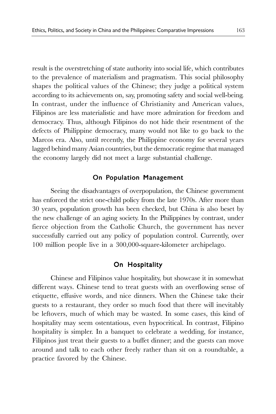result is the overstretching of state authority into social life, which contributes to the prevalence of materialism and pragmatism. This social philosophy shapes the political values of the Chinese; they judge a political system according to its achievements on, say, promoting safety and social well-being. In contrast, under the influence of Christianity and American values, Filipinos are less materialistic and have more admiration for freedom and democracy. Thus, although Filipinos do not hide their resentment of the defects of Philippine democracy, many would not like to go back to the Marcos era. Also, until recently, the Philippine economy for several years lagged behind many Asian countries, but the democratic regime that managed the economy largely did not meet a large substantial challenge.

#### On Population Management

Seeing the disadvantages of overpopulation, the Chinese government has enforced the strict one-child policy from the late 1970s. After more than 30 years, population growth has been checked, but China is also beset by the new challenge of an aging society. In the Philippines by contrast, under fierce objection from the Catholic Church, the government has never successfully carried out any policy of population control. Currently, over 100 million people live in a 300,000-square-kilometer archipelago.

## On Hospitality

Chinese and Filipinos value hospitality, but showcase it in somewhat different ways. Chinese tend to treat guests with an overflowing sense of etiquette, effusive words, and nice dinners. When the Chinese take their guests to a restaurant, they order so much food that there will inevitably be leftovers, much of which may be wasted. In some cases, this kind of hospitality may seem ostentatious, even hypocritical. In contrast, Filipino hospitality is simpler. In a banquet to celebrate a wedding, for instance, Filipinos just treat their guests to a buffet dinner; and the guests can move around and talk to each other freely rather than sit on a roundtable, a practice favored by the Chinese.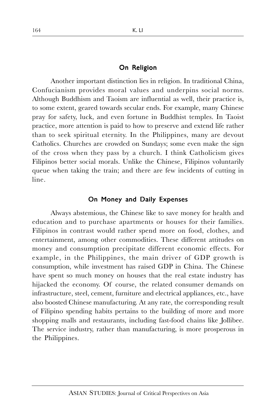#### On Religion

Another important distinction lies in religion. In traditional China, Confucianism provides moral values and underpins social norms. Although Buddhism and Taoism are influential as well, their practice is, to some extent, geared towards secular ends. For example, many Chinese pray for safety, luck, and even fortune in Buddhist temples. In Taoist practice, more attention is paid to how to preserve and extend life rather than to seek spiritual eternity. In the Philippines, many are devout Catholics. Churches are crowded on Sundays; some even make the sign of the cross when they pass by a church. I think Catholicism gives Filipinos better social morals. Unlike the Chinese, Filipinos voluntarily queue when taking the train; and there are few incidents of cutting in line.

### On Money and Daily Expenses

Always abstemious, the Chinese like to save money for health and education and to purchase apartments or houses for their families. Filipinos in contrast would rather spend more on food, clothes, and entertainment, among other commodities. These different attitudes on money and consumption precipitate different economic effects. For example, in the Philippines, the main driver of GDP growth is consumption, while investment has raised GDP in China. The Chinese have spent so much money on houses that the real estate industry has hijacked the economy. Of course, the related consumer demands on infrastructure, steel, cement, furniture and electrical appliances, etc., have also boosted Chinese manufacturing. At any rate, the corresponding result of Filipino spending habits pertains to the building of more and more shopping malls and restaurants, including fast-food chains like Jollibee. The service industry, rather than manufacturing, is more prosperous in the Philippines.